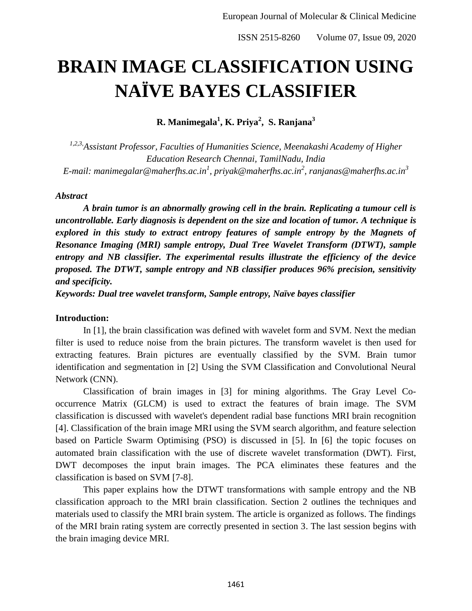# **BRAIN IMAGE CLASSIFICATION USING NAÏVE BAYES CLASSIFIER**

**R. Manimegala<sup>1</sup> , K. Priya<sup>2</sup> , S. Ranjana<sup>3</sup>**

*1,2,3,Assistant Professor, Faculties of Humanities Science, Meenakashi Academy of Higher Education Research Chennai, TamilNadu, India E-mail: manimegalar@maherfhs.ac.in<sup>1</sup> , priyak@maherfhs.ac.in<sup>2</sup> , ranjanas@maherfhs.ac.in<sup>3</sup>*

#### *Abstract*

*A brain tumor is an abnormally growing cell in the brain. Replicating a tumour cell is uncontrollable. Early diagnosis is dependent on the size and location of tumor. A technique is explored in this study to extract entropy features of sample entropy by the Magnets of Resonance Imaging (MRI) sample entropy, Dual Tree Wavelet Transform (DTWT), sample entropy and NB classifier. The experimental results illustrate the efficiency of the device proposed. The DTWT, sample entropy and NB classifier produces 96% precision, sensitivity and specificity.*

*Keywords: Dual tree wavelet transform, Sample entropy, Naïve bayes classifier* 

## **Introduction:**

In [1], the brain classification was defined with wavelet form and SVM. Next the median filter is used to reduce noise from the brain pictures. The transform wavelet is then used for extracting features. Brain pictures are eventually classified by the SVM. Brain tumor identification and segmentation in [2] Using the SVM Classification and Convolutional Neural Network (CNN).

Classification of brain images in [3] for mining algorithms. The Gray Level Cooccurrence Matrix (GLCM) is used to extract the features of brain image. The SVM classification is discussed with wavelet's dependent radial base functions MRI brain recognition [4]. Classification of the brain image MRI using the SVM search algorithm, and feature selection based on Particle Swarm Optimising (PSO) is discussed in [5]. In [6] the topic focuses on automated brain classification with the use of discrete wavelet transformation (DWT). First, DWT decomposes the input brain images. The PCA eliminates these features and the classification is based on SVM [7-8].

This paper explains how the DTWT transformations with sample entropy and the NB classification approach to the MRI brain classification. Section 2 outlines the techniques and materials used to classify the MRI brain system. The article is organized as follows. The findings of the MRI brain rating system are correctly presented in section 3. The last session begins with the brain imaging device MRI.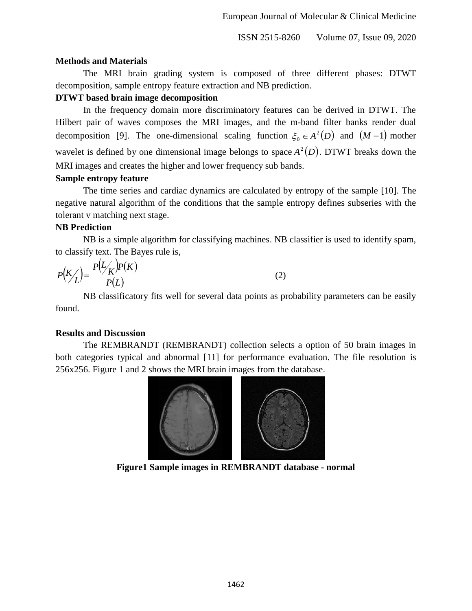ISSN 2515-8260 Volume 07, Issue 09, 2020

#### **Methods and Materials**

The MRI brain grading system is composed of three different phases: DTWT decomposition, sample entropy feature extraction and NB prediction.

## **DTWT based brain image decomposition**

In the frequency domain more discriminatory features can be derived in DTWT. The Hilbert pair of waves composes the MRI images, and the m-band filter banks render dual decomposition [9]. The one-dimensional scaling function  $\zeta_0 \in A^2(D)$  and  $(M-1)$  mother wavelet is defined by one dimensional image belongs to space  $A^2(D)$ . DTWT breaks down the MRI images and creates the higher and lower frequency sub bands.

#### **Sample entropy feature**

The time series and cardiac dynamics are calculated by entropy of the sample [10]. The negative natural algorithm of the conditions that the sample entropy defines subseries with the tolerant v matching next stage.

## **NB Prediction**

NB is a simple algorithm for classifying machines. NB classifier is used to identify spam, to classify text. The Bayes rule is,

$$
P\left(K_{\ell}\right) = \frac{P\left(L_{K}\right)P(K)}{P(L)}
$$
\n<sup>(2)</sup>

NB classificatory fits well for several data points as probability parameters can be easily found.

## **Results and Discussion**

The REMBRANDT (REMBRANDT) collection selects a option of 50 brain images in both categories typical and abnormal [11] for performance evaluation. The file resolution is 256x256. Figure 1 and 2 shows the MRI brain images from the database.



**Figure1 Sample images in REMBRANDT database - normal**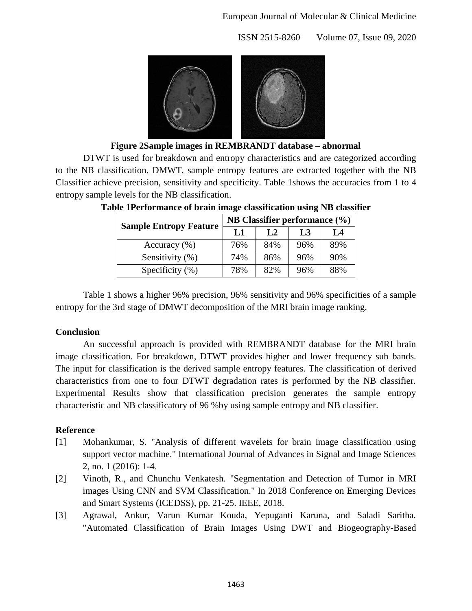ISSN 2515-8260 Volume 07, Issue 09, 2020



**Figure 2Sample images in REMBRANDT database – abnormal**

DTWT is used for breakdown and entropy characteristics and are categorized according to the NB classification. DMWT, sample entropy features are extracted together with the NB Classifier achieve precision, sensitivity and specificity. Table 1shows the accuracies from 1 to 4 entropy sample levels for the NB classification.

| <b>Sample Entropy Feature</b> | NB Classifier performance $(\% )$ |     |                |     |
|-------------------------------|-----------------------------------|-----|----------------|-----|
|                               | L1                                | L2  | L <sub>3</sub> | L4  |
| Accuracy $(\% )$              | 76%                               | 84% | 96%            | 89% |
| Sensitivity (%)               | 74%                               | 86% | 96%            | 90% |
| Specificity $(\%)$            | 78%                               | 82% | 96%            | 88% |

Table 1 shows a higher 96% precision, 96% sensitivity and 96% specificities of a sample entropy for the 3rd stage of DMWT decomposition of the MRI brain image ranking.

## **Conclusion**

An successful approach is provided with REMBRANDT database for the MRI brain image classification. For breakdown, DTWT provides higher and lower frequency sub bands. The input for classification is the derived sample entropy features. The classification of derived characteristics from one to four DTWT degradation rates is performed by the NB classifier. Experimental Results show that classification precision generates the sample entropy characteristic and NB classificatory of 96 %by using sample entropy and NB classifier.

# **Reference**

- [1] Mohankumar, S. "Analysis of different wavelets for brain image classification using support vector machine." International Journal of Advances in Signal and Image Sciences 2, no. 1 (2016): 1-4.
- [2] Vinoth, R., and Chunchu Venkatesh. "Segmentation and Detection of Tumor in MRI images Using CNN and SVM Classification." In 2018 Conference on Emerging Devices and Smart Systems (ICEDSS), pp. 21-25. IEEE, 2018.
- [3] Agrawal, Ankur, Varun Kumar Kouda, Yepuganti Karuna, and Saladi Saritha. "Automated Classification of Brain Images Using DWT and Biogeography-Based